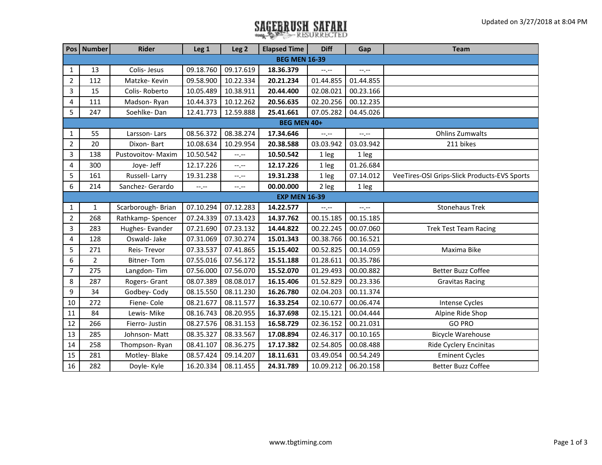## **SAGEBRUSH SAFARI**

|                | Pos   Number         | <b>Rider</b>       | Leg <sub>1</sub> | Leg <sub>2</sub> | <b>Elapsed Time</b>  | <b>Diff</b> | Gap         | <b>Team</b>                                  |  |  |
|----------------|----------------------|--------------------|------------------|------------------|----------------------|-------------|-------------|----------------------------------------------|--|--|
|                | <b>BEG MEN 16-39</b> |                    |                  |                  |                      |             |             |                                              |  |  |
| 1              | 13                   | Colis-Jesus        | 09.18.760        | 09.17.619        | 18.36.379            | $-1$ , $-1$ | $-1$ , $-1$ |                                              |  |  |
| $\overline{2}$ | 112                  | Matzke-Kevin       | 09.58.900        | 10.22.334        | 20.21.234            | 01.44.855   | 01.44.855   |                                              |  |  |
| 3              | 15                   | Colis-Roberto      | 10.05.489        | 10.38.911        | 20.44.400            | 02.08.021   | 00.23.166   |                                              |  |  |
| 4              | 111                  | Madson-Ryan        | 10.44.373        | 10.12.262        | 20.56.635            | 02.20.256   | 00.12.235   |                                              |  |  |
| 5              | 247                  | Soehlke-Dan        | 12.41.773        | 12.59.888        | 25.41.661            | 07.05.282   | 04.45.026   |                                              |  |  |
|                | BEG MEN 40+          |                    |                  |                  |                      |             |             |                                              |  |  |
| 1              | 55                   | Larsson-Lars       | 08.56.372        | 08.38.274        | 17.34.646            | $-1$ , $-1$ | $-1$ , $-1$ | <b>Ohlins Zumwalts</b>                       |  |  |
| $\overline{2}$ | 20                   | Dixon-Bart         | 10.08.634        | 10.29.954        | 20.38.588            | 03.03.942   | 03.03.942   | 211 bikes                                    |  |  |
| 3              | 138                  | Pustovoitov- Maxim | 10.50.542        | $-1$ , $-1$      | 10.50.542            | 1 leg       | 1 leg       |                                              |  |  |
| 4              | 300                  | Joye- Jeff         | 12.17.226        | $-1$ .           | 12.17.226            | 1 leg       | 01.26.684   |                                              |  |  |
| 5              | 161                  | Russell-Larry      | 19.31.238        | --.--            | 19.31.238            | 1 leg       | 07.14.012   | VeeTires-OSI Grips-Slick Products-EVS Sports |  |  |
| 6              | 214                  | Sanchez- Gerardo   | $-1$ .           | $--, --$         | 00.00.000            | 2 leg       | 1 leg       |                                              |  |  |
|                |                      |                    |                  |                  | <b>EXP MEN 16-39</b> |             |             |                                              |  |  |
| $\mathbf{1}$   | $\mathbf{1}$         | Scarborough-Brian  | 07.10.294        | 07.12.283        | 14.22.577            | $-1$        | $-1$        | <b>Stonehaus Trek</b>                        |  |  |
| $\overline{2}$ | 268                  | Rathkamp-Spencer   | 07.24.339        | 07.13.423        | 14.37.762            | 00.15.185   | 00.15.185   |                                              |  |  |
| 3              | 283                  | Hughes-Evander     | 07.21.690        | 07.23.132        | 14.44.822            | 00.22.245   | 00.07.060   | <b>Trek Test Team Racing</b>                 |  |  |
| $\overline{4}$ | 128                  | Oswald-Jake        | 07.31.069        | 07.30.274        | 15.01.343            | 00.38.766   | 00.16.521   |                                              |  |  |
| 5              | 271                  | Reis-Trevor        | 07.33.537        | 07.41.865        | 15.15.402            | 00.52.825   | 00.14.059   | Maxima Bike                                  |  |  |
| 6              | $\overline{2}$       | <b>Bitner-Tom</b>  | 07.55.016        | 07.56.172        | 15.51.188            | 01.28.611   | 00.35.786   |                                              |  |  |
| $\overline{7}$ | 275                  | Langdon-Tim        | 07.56.000        | 07.56.070        | 15.52.070            | 01.29.493   | 00.00.882   | <b>Better Buzz Coffee</b>                    |  |  |
| 8              | 287                  | Rogers- Grant      | 08.07.389        | 08.08.017        | 16.15.406            | 01.52.829   | 00.23.336   | <b>Gravitas Racing</b>                       |  |  |
| 9              | 34                   | Godbey-Cody        | 08.15.550        | 08.11.230        | 16.26.780            | 02.04.203   | 00.11.374   |                                              |  |  |
| 10             | 272                  | Fiene-Cole         | 08.21.677        | 08.11.577        | 16.33.254            | 02.10.677   | 00.06.474   | Intense Cycles                               |  |  |
| 11             | 84                   | Lewis- Mike        | 08.16.743        | 08.20.955        | 16.37.698            | 02.15.121   | 00.04.444   | Alpine Ride Shop                             |  |  |
| 12             | 266                  | Fierro- Justin     | 08.27.576        | 08.31.153        | 16.58.729            | 02.36.152   | 00.21.031   | <b>GO PRO</b>                                |  |  |
| 13             | 285                  | Johnson-Matt       | 08.35.327        | 08.33.567        | 17.08.894            | 02.46.317   | 00.10.165   | <b>Bicycle Warehouse</b>                     |  |  |
| 14             | 258                  | Thompson-Ryan      | 08.41.107        | 08.36.275        | 17.17.382            | 02.54.805   | 00.08.488   | Ride Cyclery Encinitas                       |  |  |
| 15             | 281                  | Motley-Blake       | 08.57.424        | 09.14.207        | 18.11.631            | 03.49.054   | 00.54.249   | <b>Eminent Cycles</b>                        |  |  |
| 16             | 282                  | Doyle-Kyle         | 16.20.334        | 08.11.455        | 24.31.789            | 10.09.212   | 06.20.158   | <b>Better Buzz Coffee</b>                    |  |  |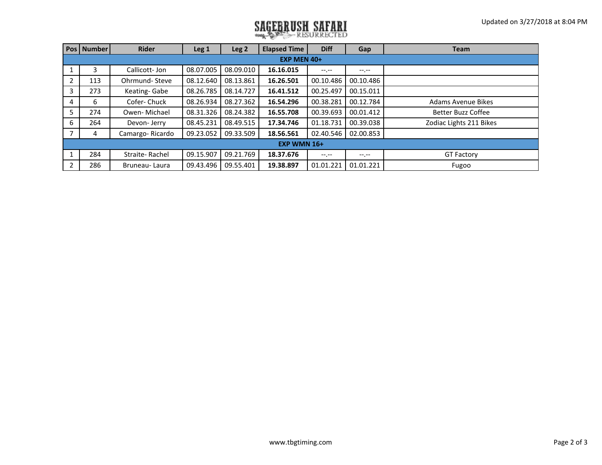## **SAGEBRUSH SAFARI**

|                | Pos   Number | Rider           | Leg 1     | Leg <sub>2</sub> | <b>Elapsed Time</b> | <b>Diff</b>      | Gap         | <b>Team</b>               |  |
|----------------|--------------|-----------------|-----------|------------------|---------------------|------------------|-------------|---------------------------|--|
| EXP MEN 40+    |              |                 |           |                  |                     |                  |             |                           |  |
|                | 3.           | Callicott-Jon   | 08.07.005 | 08.09.010        | 16.16.015           | $-1 - 1 - 1 = 0$ | $-1$ , $-1$ |                           |  |
| 2              | 113          | Ohrmund-Steve   | 08.12.640 | 08.13.861        | 16.26.501           | 00.10.486        | 00.10.486   |                           |  |
| 3              | 273          | Keating-Gabe    | 08.26.785 | 08.14.727        | 16.41.512           | 00.25.497        | 00.15.011   |                           |  |
| $\overline{4}$ | 6            | Cofer-Chuck     | 08.26.934 | 08.27.362        | 16.54.296           | 00.38.281        | 00.12.784   | <b>Adams Avenue Bikes</b> |  |
| 5              | 274          | Owen-Michael    | 08.31.326 | 08.24.382        | 16.55.708           | 00.39.693        | 00.01.412   | <b>Better Buzz Coffee</b> |  |
| 6              | 264          | Devon-Jerry     | 08.45.231 | 08.49.515        | 17.34.746           | 01.18.731        | 00.39.038   | Zodiac Lights 211 Bikes   |  |
|                | 4            | Camargo-Ricardo | 09.23.052 | 09.33.509        | 18.56.561           | 02.40.546        | 02.00.853   |                           |  |
| EXP WMN 16+    |              |                 |           |                  |                     |                  |             |                           |  |
|                | 284          | Straite-Rachel  | 09.15.907 | 09.21.769        | 18.37.676           | $-1 - 1 - 1 = 0$ | $-1$ , $-1$ | <b>GT Factory</b>         |  |
| 2              | 286          | Bruneau-Laura   | 09.43.496 | 09.55.401        | 19.38.897           | 01.01.221        | 01.01.221   | Fugoo                     |  |